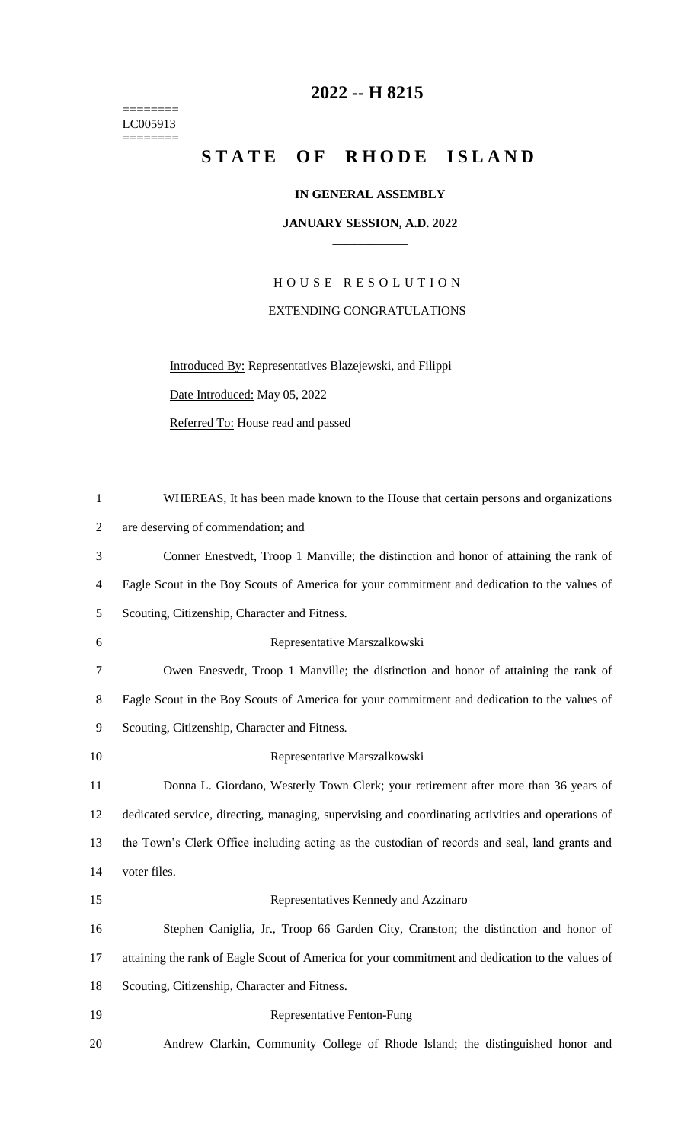======== LC005913  $=$ 

## **-- H 8215**

## STATE OF RHODE ISLAND

## **IN GENERAL ASSEMBLY**

## **JANUARY SESSION, A.D. 2022 \_\_\_\_\_\_\_\_\_\_\_\_**

H O U S E R E S O L U T I O N EXTENDING CONGRATULATIONS

Introduced By: Representatives Blazejewski, and Filippi

Date Introduced: May 05, 2022

Referred To: House read and passed

| $\mathbf{1}$   | WHEREAS, It has been made known to the House that certain persons and organizations               |
|----------------|---------------------------------------------------------------------------------------------------|
| 2              | are deserving of commendation; and                                                                |
| 3              | Conner Enestvedt, Troop 1 Manville; the distinction and honor of attaining the rank of            |
| $\overline{4}$ | Eagle Scout in the Boy Scouts of America for your commitment and dedication to the values of      |
| 5              | Scouting, Citizenship, Character and Fitness.                                                     |
| 6              | Representative Marszalkowski                                                                      |
| 7              | Owen Enesvedt, Troop 1 Manville; the distinction and honor of attaining the rank of               |
| 8              | Eagle Scout in the Boy Scouts of America for your commitment and dedication to the values of      |
| 9              | Scouting, Citizenship, Character and Fitness.                                                     |
| 10             | Representative Marszalkowski                                                                      |
| 11             | Donna L. Giordano, Westerly Town Clerk; your retirement after more than 36 years of               |
| 12             | dedicated service, directing, managing, supervising and coordinating activities and operations of |
| 13             | the Town's Clerk Office including acting as the custodian of records and seal, land grants and    |
| 14             | voter files.                                                                                      |
| 15             | Representatives Kennedy and Azzinaro                                                              |
| 16             | Stephen Caniglia, Jr., Troop 66 Garden City, Cranston; the distinction and honor of               |
| 17             | attaining the rank of Eagle Scout of America for your commitment and dedication to the values of  |
| 18             | Scouting, Citizenship, Character and Fitness.                                                     |
| 19             | Representative Fenton-Fung                                                                        |
| 20             | Andrew Clarkin, Community College of Rhode Island; the distinguished honor and                    |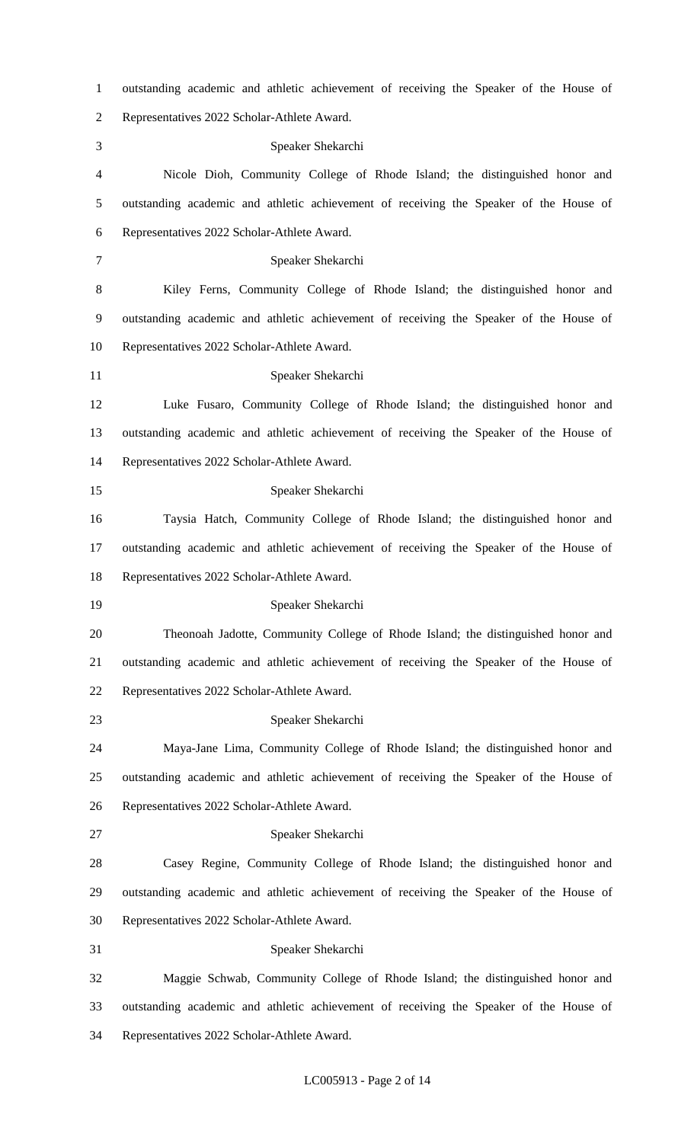outstanding academic and athletic achievement of receiving the Speaker of the House of Representatives 2022 Scholar-Athlete Award. Speaker Shekarchi Nicole Dioh, Community College of Rhode Island; the distinguished honor and outstanding academic and athletic achievement of receiving the Speaker of the House of Representatives 2022 Scholar-Athlete Award. Speaker Shekarchi Kiley Ferns, Community College of Rhode Island; the distinguished honor and outstanding academic and athletic achievement of receiving the Speaker of the House of Representatives 2022 Scholar-Athlete Award. Speaker Shekarchi Luke Fusaro, Community College of Rhode Island; the distinguished honor and outstanding academic and athletic achievement of receiving the Speaker of the House of Representatives 2022 Scholar-Athlete Award. Speaker Shekarchi Taysia Hatch, Community College of Rhode Island; the distinguished honor and outstanding academic and athletic achievement of receiving the Speaker of the House of Representatives 2022 Scholar-Athlete Award. Speaker Shekarchi Theonoah Jadotte, Community College of Rhode Island; the distinguished honor and outstanding academic and athletic achievement of receiving the Speaker of the House of Representatives 2022 Scholar-Athlete Award. Speaker Shekarchi Maya-Jane Lima, Community College of Rhode Island; the distinguished honor and outstanding academic and athletic achievement of receiving the Speaker of the House of Representatives 2022 Scholar-Athlete Award. Speaker Shekarchi Casey Regine, Community College of Rhode Island; the distinguished honor and outstanding academic and athletic achievement of receiving the Speaker of the House of Representatives 2022 Scholar-Athlete Award. Speaker Shekarchi Maggie Schwab, Community College of Rhode Island; the distinguished honor and outstanding academic and athletic achievement of receiving the Speaker of the House of Representatives 2022 Scholar-Athlete Award.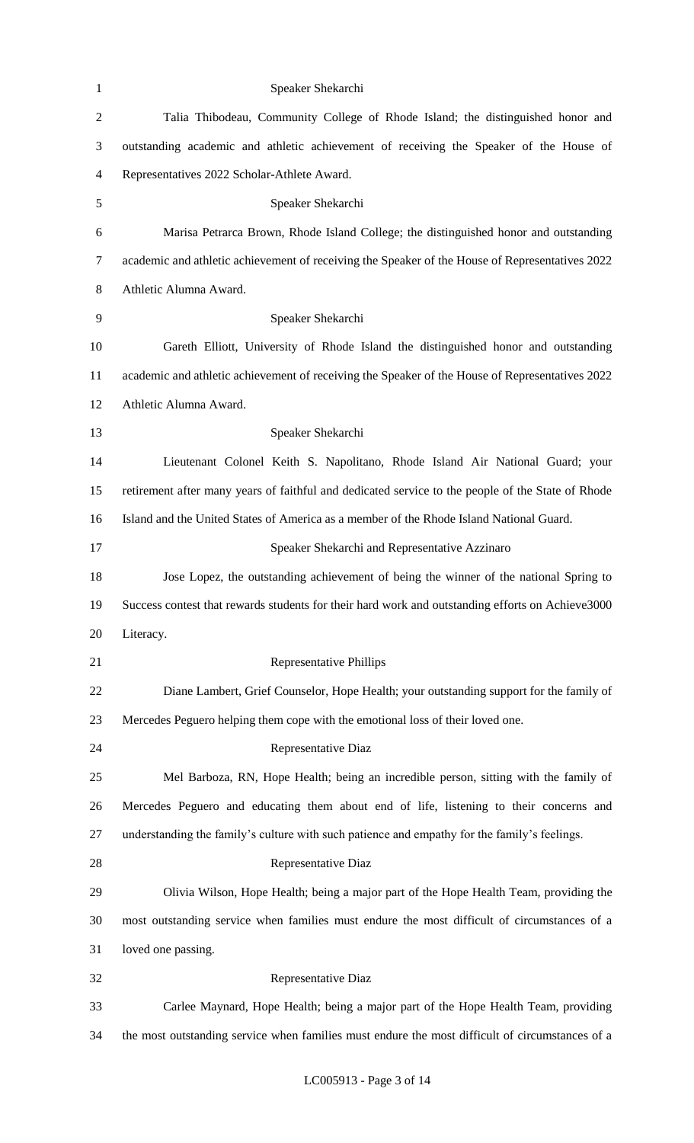| $\mathbf{1}$   | Speaker Shekarchi                                                                                 |
|----------------|---------------------------------------------------------------------------------------------------|
| $\overline{2}$ | Talia Thibodeau, Community College of Rhode Island; the distinguished honor and                   |
| 3              | outstanding academic and athletic achievement of receiving the Speaker of the House of            |
| $\overline{4}$ | Representatives 2022 Scholar-Athlete Award.                                                       |
| 5              | Speaker Shekarchi                                                                                 |
| 6              | Marisa Petrarca Brown, Rhode Island College; the distinguished honor and outstanding              |
| $\tau$         | academic and athletic achievement of receiving the Speaker of the House of Representatives 2022   |
| $8\,$          | Athletic Alumna Award.                                                                            |
| 9              | Speaker Shekarchi                                                                                 |
| 10             | Gareth Elliott, University of Rhode Island the distinguished honor and outstanding                |
| 11             | academic and athletic achievement of receiving the Speaker of the House of Representatives 2022   |
| 12             | Athletic Alumna Award.                                                                            |
| 13             | Speaker Shekarchi                                                                                 |
| 14             | Lieutenant Colonel Keith S. Napolitano, Rhode Island Air National Guard; your                     |
| 15             | retirement after many years of faithful and dedicated service to the people of the State of Rhode |
| 16             | Island and the United States of America as a member of the Rhode Island National Guard.           |
| 17             | Speaker Shekarchi and Representative Azzinaro                                                     |
| 18             | Jose Lopez, the outstanding achievement of being the winner of the national Spring to             |
| 19             | Success contest that rewards students for their hard work and outstanding efforts on Achieve3000  |
| 20             | Literacy.                                                                                         |
| 21             | <b>Representative Phillips</b>                                                                    |
| 22             | Diane Lambert, Grief Counselor, Hope Health; your outstanding support for the family of           |
| 23             | Mercedes Peguero helping them cope with the emotional loss of their loved one.                    |
| 24             | Representative Diaz                                                                               |
| 25             | Mel Barboza, RN, Hope Health; being an incredible person, sitting with the family of              |
| 26             | Mercedes Peguero and educating them about end of life, listening to their concerns and            |
| 27             | understanding the family's culture with such patience and empathy for the family's feelings.      |
| 28             | Representative Diaz                                                                               |
| 29             | Olivia Wilson, Hope Health; being a major part of the Hope Health Team, providing the             |
| 30             | most outstanding service when families must endure the most difficult of circumstances of a       |
| 31             | loved one passing.                                                                                |
| 32             |                                                                                                   |
|                | Representative Diaz                                                                               |
| 33             | Carlee Maynard, Hope Health; being a major part of the Hope Health Team, providing                |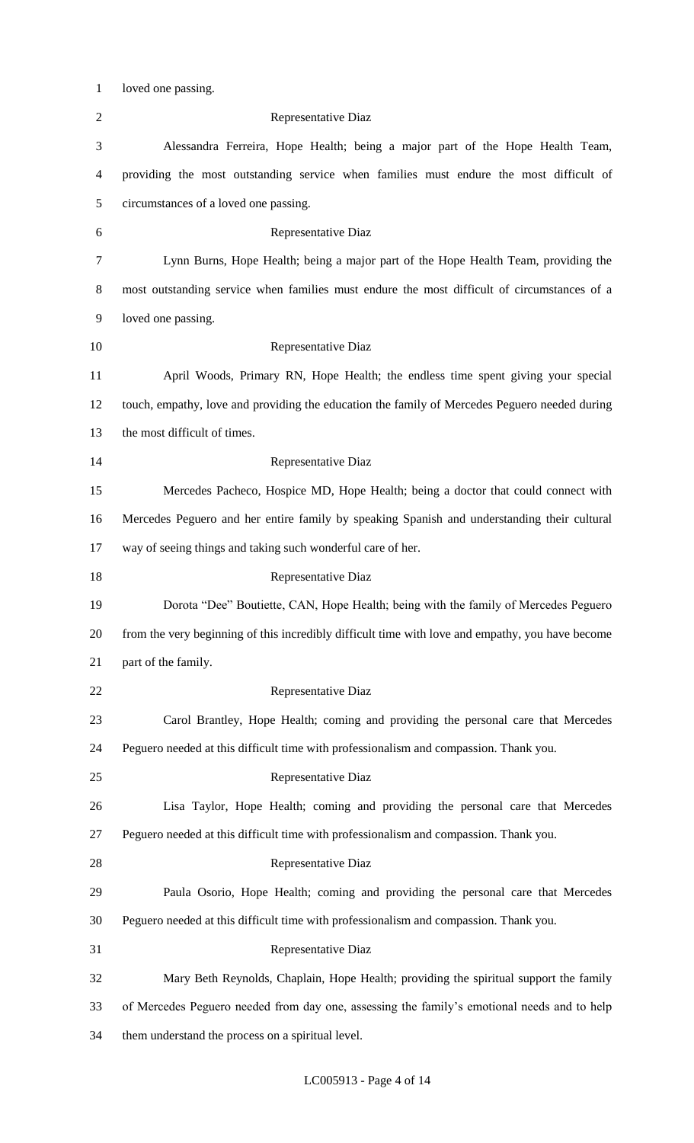1 loved one passing.

| $\overline{2}$ | <b>Representative Diaz</b>                                                                       |
|----------------|--------------------------------------------------------------------------------------------------|
| 3              | Alessandra Ferreira, Hope Health; being a major part of the Hope Health Team,                    |
| 4              | providing the most outstanding service when families must endure the most difficult of           |
| 5              | circumstances of a loved one passing.                                                            |
| 6              | Representative Diaz                                                                              |
| $\tau$         | Lynn Burns, Hope Health; being a major part of the Hope Health Team, providing the               |
| 8              | most outstanding service when families must endure the most difficult of circumstances of a      |
| 9              | loved one passing.                                                                               |
| 10             | Representative Diaz                                                                              |
| 11             | April Woods, Primary RN, Hope Health; the endless time spent giving your special                 |
| 12             | touch, empathy, love and providing the education the family of Mercedes Peguero needed during    |
| 13             | the most difficult of times.                                                                     |
| 14             | Representative Diaz                                                                              |
| 15             | Mercedes Pacheco, Hospice MD, Hope Health; being a doctor that could connect with                |
| 16             | Mercedes Peguero and her entire family by speaking Spanish and understanding their cultural      |
| 17             | way of seeing things and taking such wonderful care of her.                                      |
| 18             | Representative Diaz                                                                              |
| 19             | Dorota "Dee" Boutiette, CAN, Hope Health; being with the family of Mercedes Peguero              |
| 20             | from the very beginning of this incredibly difficult time with love and empathy, you have become |
| 21             | part of the family.                                                                              |
| 22             | Representative Diaz                                                                              |
| 23             | Carol Brantley, Hope Health; coming and providing the personal care that Mercedes                |
| 24             | Peguero needed at this difficult time with professionalism and compassion. Thank you.            |
| 25             | Representative Diaz                                                                              |
| 26             | Lisa Taylor, Hope Health; coming and providing the personal care that Mercedes                   |
| 27             | Peguero needed at this difficult time with professionalism and compassion. Thank you.            |
| 28             | Representative Diaz                                                                              |
| 29             | Paula Osorio, Hope Health; coming and providing the personal care that Mercedes                  |
| 30             | Peguero needed at this difficult time with professionalism and compassion. Thank you.            |
| 31             | Representative Diaz                                                                              |
| 32             | Mary Beth Reynolds, Chaplain, Hope Health; providing the spiritual support the family            |
| 33             | of Mercedes Peguero needed from day one, assessing the family's emotional needs and to help      |
| 34             | them understand the process on a spiritual level.                                                |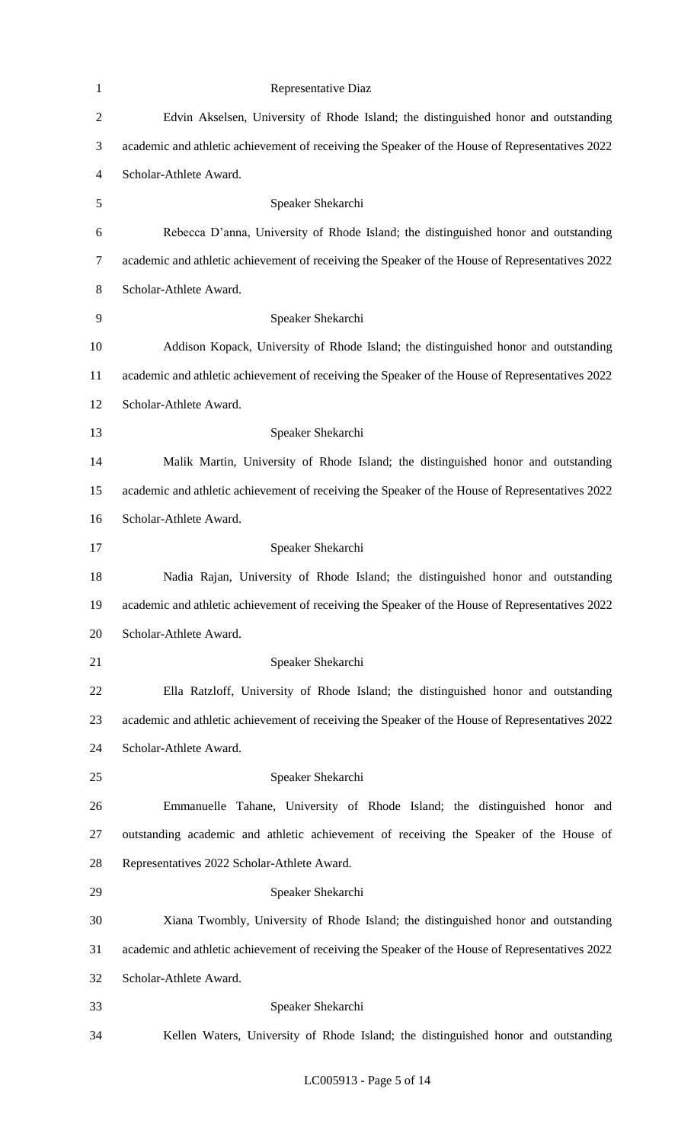| $\mathbf{1}$   | Representative Diaz                                                                             |
|----------------|-------------------------------------------------------------------------------------------------|
| $\sqrt{2}$     | Edvin Akselsen, University of Rhode Island; the distinguished honor and outstanding             |
| $\mathfrak{Z}$ | academic and athletic achievement of receiving the Speaker of the House of Representatives 2022 |
| $\overline{4}$ | Scholar-Athlete Award.                                                                          |
| 5              | Speaker Shekarchi                                                                               |
| 6              | Rebecca D'anna, University of Rhode Island; the distinguished honor and outstanding             |
| $\tau$         | academic and athletic achievement of receiving the Speaker of the House of Representatives 2022 |
| 8              | Scholar-Athlete Award.                                                                          |
| 9              | Speaker Shekarchi                                                                               |
| 10             | Addison Kopack, University of Rhode Island; the distinguished honor and outstanding             |
| 11             | academic and athletic achievement of receiving the Speaker of the House of Representatives 2022 |
| 12             | Scholar-Athlete Award.                                                                          |
| 13             | Speaker Shekarchi                                                                               |
| 14             | Malik Martin, University of Rhode Island; the distinguished honor and outstanding               |
| 15             | academic and athletic achievement of receiving the Speaker of the House of Representatives 2022 |
| 16             | Scholar-Athlete Award.                                                                          |
| 17             | Speaker Shekarchi                                                                               |
| 18             | Nadia Rajan, University of Rhode Island; the distinguished honor and outstanding                |
| 19             | academic and athletic achievement of receiving the Speaker of the House of Representatives 2022 |
| 20             | Scholar-Athlete Award.                                                                          |
| 21             | Speaker Shekarchi                                                                               |
| 22             | Ella Ratzloff, University of Rhode Island; the distinguished honor and outstanding              |
| 23             | academic and athletic achievement of receiving the Speaker of the House of Representatives 2022 |
| 24             | Scholar-Athlete Award.                                                                          |
| 25             | Speaker Shekarchi                                                                               |
| 26             | Emmanuelle Tahane, University of Rhode Island; the distinguished honor and                      |
| 27             | outstanding academic and athletic achievement of receiving the Speaker of the House of          |
| 28             | Representatives 2022 Scholar-Athlete Award.                                                     |
| 29             | Speaker Shekarchi                                                                               |
| 30             | Xiana Twombly, University of Rhode Island; the distinguished honor and outstanding              |
| 31             | academic and athletic achievement of receiving the Speaker of the House of Representatives 2022 |
| 32             | Scholar-Athlete Award.                                                                          |
| 33             | Speaker Shekarchi                                                                               |
| 34             | Kellen Waters, University of Rhode Island; the distinguished honor and outstanding              |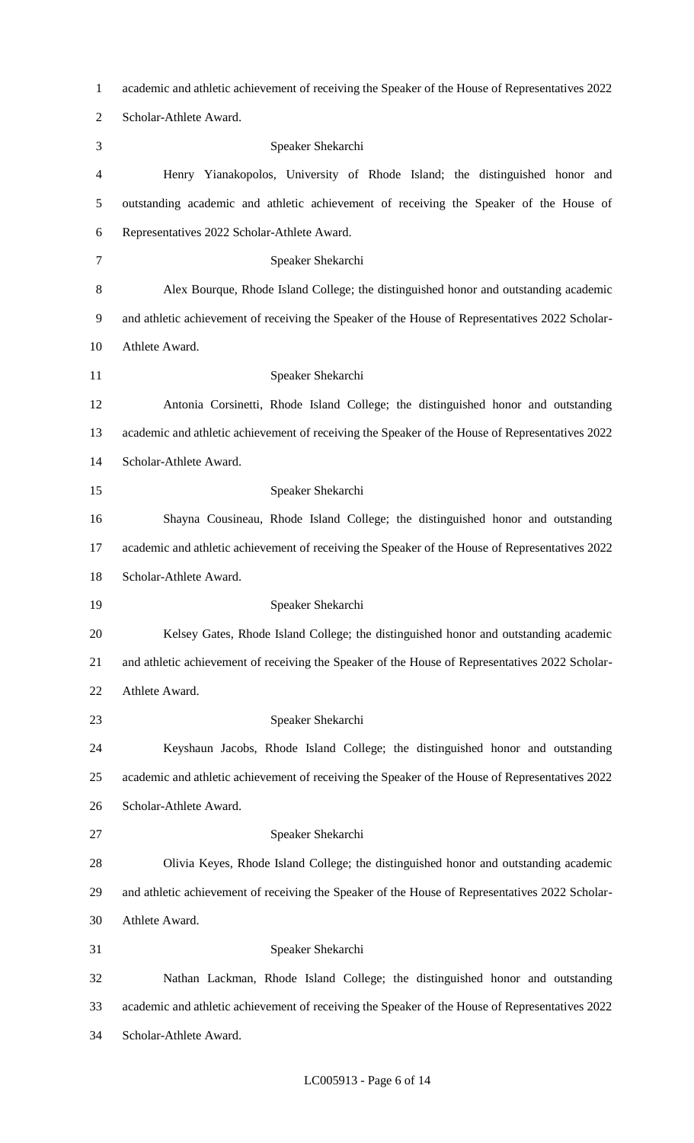| $\mathbf{1}$   | academic and athletic achievement of receiving the Speaker of the House of Representatives 2022 |
|----------------|-------------------------------------------------------------------------------------------------|
| $\overline{2}$ | Scholar-Athlete Award.                                                                          |
| 3              | Speaker Shekarchi                                                                               |
| 4              | Henry Yianakopolos, University of Rhode Island; the distinguished honor and                     |
| 5              | outstanding academic and athletic achievement of receiving the Speaker of the House of          |
| 6              | Representatives 2022 Scholar-Athlete Award.                                                     |
| $\tau$         | Speaker Shekarchi                                                                               |
| 8              | Alex Bourque, Rhode Island College; the distinguished honor and outstanding academic            |
| 9              | and athletic achievement of receiving the Speaker of the House of Representatives 2022 Scholar- |
| 10             | Athlete Award.                                                                                  |
| 11             | Speaker Shekarchi                                                                               |
| 12             | Antonia Corsinetti, Rhode Island College; the distinguished honor and outstanding               |
| 13             | academic and athletic achievement of receiving the Speaker of the House of Representatives 2022 |
| 14             | Scholar-Athlete Award.                                                                          |
| 15             | Speaker Shekarchi                                                                               |
| 16             | Shayna Cousineau, Rhode Island College; the distinguished honor and outstanding                 |
| 17             | academic and athletic achievement of receiving the Speaker of the House of Representatives 2022 |
| 18             | Scholar-Athlete Award.                                                                          |
| 19             | Speaker Shekarchi                                                                               |
| 20             | Kelsey Gates, Rhode Island College; the distinguished honor and outstanding academic            |
| 21             | and athletic achievement of receiving the Speaker of the House of Representatives 2022 Scholar- |
| 22             | Athlete Award.                                                                                  |
| 23             | Speaker Shekarchi                                                                               |
| 24             | Keyshaun Jacobs, Rhode Island College; the distinguished honor and outstanding                  |
| 25             | academic and athletic achievement of receiving the Speaker of the House of Representatives 2022 |
| 26             | Scholar-Athlete Award.                                                                          |
| 27             | Speaker Shekarchi                                                                               |
| 28             | Olivia Keyes, Rhode Island College; the distinguished honor and outstanding academic            |
| 29             | and athletic achievement of receiving the Speaker of the House of Representatives 2022 Scholar- |
| 30             | Athlete Award.                                                                                  |
| 31             | Speaker Shekarchi                                                                               |
| 32             | Nathan Lackman, Rhode Island College; the distinguished honor and outstanding                   |
| 33             | academic and athletic achievement of receiving the Speaker of the House of Representatives 2022 |
| 34             | Scholar-Athlete Award.                                                                          |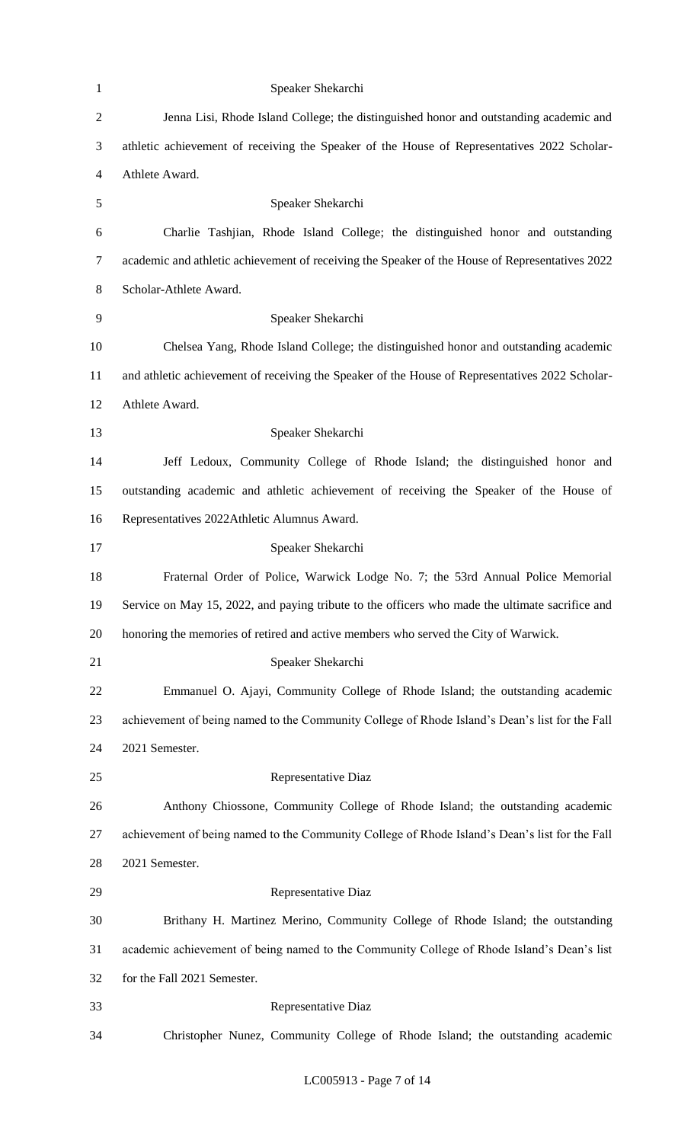| $\mathbf{1}$   | Speaker Shekarchi                                                                               |
|----------------|-------------------------------------------------------------------------------------------------|
| $\overline{2}$ | Jenna Lisi, Rhode Island College; the distinguished honor and outstanding academic and          |
| $\mathfrak{Z}$ | athletic achievement of receiving the Speaker of the House of Representatives 2022 Scholar-     |
| $\overline{4}$ | Athlete Award.                                                                                  |
| $\mathfrak{S}$ | Speaker Shekarchi                                                                               |
| 6              | Charlie Tashijan, Rhode Island College; the distinguished honor and outstanding                 |
| $\tau$         | academic and athletic achievement of receiving the Speaker of the House of Representatives 2022 |
| $8\,$          | Scholar-Athlete Award.                                                                          |
| 9              | Speaker Shekarchi                                                                               |
| 10             | Chelsea Yang, Rhode Island College; the distinguished honor and outstanding academic            |
| 11             | and athletic achievement of receiving the Speaker of the House of Representatives 2022 Scholar- |
| 12             | Athlete Award.                                                                                  |
| 13             | Speaker Shekarchi                                                                               |
| 14             | Jeff Ledoux, Community College of Rhode Island; the distinguished honor and                     |
| 15             | outstanding academic and athletic achievement of receiving the Speaker of the House of          |
| 16             | Representatives 2022Athletic Alumnus Award.                                                     |
| 17             | Speaker Shekarchi                                                                               |
| 18             | Fraternal Order of Police, Warwick Lodge No. 7; the 53rd Annual Police Memorial                 |
| 19             | Service on May 15, 2022, and paying tribute to the officers who made the ultimate sacrifice and |
| 20             | honoring the memories of retired and active members who served the City of Warwick.             |
| 21             | Speaker Shekarchi                                                                               |
| 22             | Emmanuel O. Ajayi, Community College of Rhode Island; the outstanding academic                  |
| 23             | achievement of being named to the Community College of Rhode Island's Dean's list for the Fall  |
| 24             | 2021 Semester.                                                                                  |
| 25             | Representative Diaz                                                                             |
| 26             | Anthony Chiossone, Community College of Rhode Island; the outstanding academic                  |
| 27             | achievement of being named to the Community College of Rhode Island's Dean's list for the Fall  |
| 28             | 2021 Semester.                                                                                  |
| 29             | Representative Diaz                                                                             |
| 30             | Brithany H. Martinez Merino, Community College of Rhode Island; the outstanding                 |
| 31             | academic achievement of being named to the Community College of Rhode Island's Dean's list      |
| 32             | for the Fall 2021 Semester.                                                                     |
| 33             | Representative Diaz                                                                             |
| 34             | Christopher Nunez, Community College of Rhode Island; the outstanding academic                  |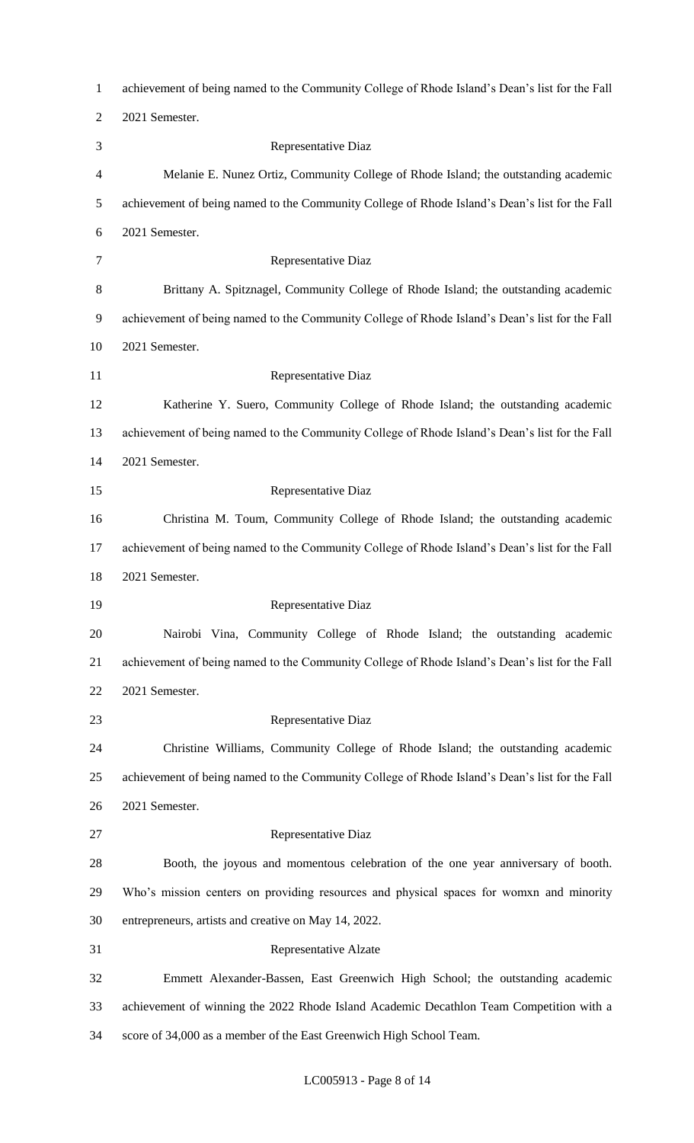| $\mathbf{1}$   | achievement of being named to the Community College of Rhode Island's Dean's list for the Fall |
|----------------|------------------------------------------------------------------------------------------------|
| $\overline{2}$ | 2021 Semester.                                                                                 |
| 3              | Representative Diaz                                                                            |
| 4              | Melanie E. Nunez Ortiz, Community College of Rhode Island; the outstanding academic            |
| 5              | achievement of being named to the Community College of Rhode Island's Dean's list for the Fall |
| 6              | 2021 Semester.                                                                                 |
| 7              | Representative Diaz                                                                            |
| $8\,$          | Brittany A. Spitznagel, Community College of Rhode Island; the outstanding academic            |
| 9              | achievement of being named to the Community College of Rhode Island's Dean's list for the Fall |
| 10             | 2021 Semester.                                                                                 |
| 11             | Representative Diaz                                                                            |
| 12             | Katherine Y. Suero, Community College of Rhode Island; the outstanding academic                |
| 13             | achievement of being named to the Community College of Rhode Island's Dean's list for the Fall |
| 14             | 2021 Semester.                                                                                 |
| 15             | Representative Diaz                                                                            |
| 16             | Christina M. Toum, Community College of Rhode Island; the outstanding academic                 |
| 17             | achievement of being named to the Community College of Rhode Island's Dean's list for the Fall |
| 18             | 2021 Semester.                                                                                 |
| 19             | Representative Diaz                                                                            |
| 20             | Nairobi Vina, Community College of Rhode Island; the outstanding academic                      |
| 21             | achievement of being named to the Community College of Rhode Island's Dean's list for the Fall |
| 22             | 2021 Semester.                                                                                 |
| 23             | Representative Diaz                                                                            |
| 24             | Christine Williams, Community College of Rhode Island; the outstanding academic                |
| 25             | achievement of being named to the Community College of Rhode Island's Dean's list for the Fall |
| 26             | 2021 Semester.                                                                                 |
| 27             | Representative Diaz                                                                            |
| 28             | Booth, the joyous and momentous celebration of the one year anniversary of booth.              |
| 29             | Who's mission centers on providing resources and physical spaces for womxn and minority        |
| 30             | entrepreneurs, artists and creative on May 14, 2022.                                           |
| 31             | Representative Alzate                                                                          |
| 32             | Emmett Alexander-Bassen, East Greenwich High School; the outstanding academic                  |
| 33             | achievement of winning the 2022 Rhode Island Academic Decathlon Team Competition with a        |
| 34             | score of 34,000 as a member of the East Greenwich High School Team.                            |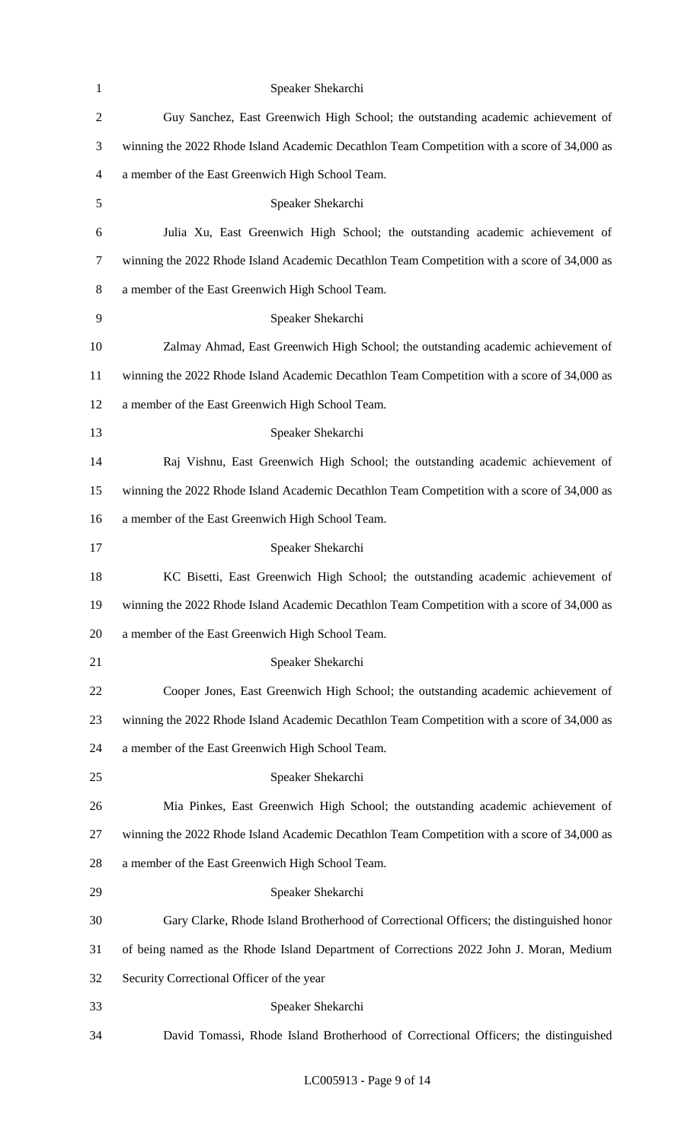| $\mathbf{1}$   | Speaker Shekarchi                                                                           |
|----------------|---------------------------------------------------------------------------------------------|
| $\mathbf{2}$   | Guy Sanchez, East Greenwich High School; the outstanding academic achievement of            |
| 3              | winning the 2022 Rhode Island Academic Decathlon Team Competition with a score of 34,000 as |
| $\overline{4}$ | a member of the East Greenwich High School Team.                                            |
| $\mathfrak{S}$ | Speaker Shekarchi                                                                           |
| 6              | Julia Xu, East Greenwich High School; the outstanding academic achievement of               |
| $\tau$         | winning the 2022 Rhode Island Academic Decathlon Team Competition with a score of 34,000 as |
| 8              | a member of the East Greenwich High School Team.                                            |
| 9              | Speaker Shekarchi                                                                           |
| 10             | Zalmay Ahmad, East Greenwich High School; the outstanding academic achievement of           |
| 11             | winning the 2022 Rhode Island Academic Decathlon Team Competition with a score of 34,000 as |
| 12             | a member of the East Greenwich High School Team.                                            |
| 13             | Speaker Shekarchi                                                                           |
| 14             | Raj Vishnu, East Greenwich High School; the outstanding academic achievement of             |
| 15             | winning the 2022 Rhode Island Academic Decathlon Team Competition with a score of 34,000 as |
| 16             | a member of the East Greenwich High School Team.                                            |
| 17             | Speaker Shekarchi                                                                           |
| 18             | KC Bisetti, East Greenwich High School; the outstanding academic achievement of             |
| 19             | winning the 2022 Rhode Island Academic Decathlon Team Competition with a score of 34,000 as |
| 20             | a member of the East Greenwich High School Team.                                            |
| 21             | Speaker Shekarchi                                                                           |
| 22             | Cooper Jones, East Greenwich High School; the outstanding academic achievement of           |
| 23             | winning the 2022 Rhode Island Academic Decathlon Team Competition with a score of 34,000 as |
| 24             | a member of the East Greenwich High School Team.                                            |
| 25             | Speaker Shekarchi                                                                           |
| 26             | Mia Pinkes, East Greenwich High School; the outstanding academic achievement of             |
| 27             | winning the 2022 Rhode Island Academic Decathlon Team Competition with a score of 34,000 as |
| 28             | a member of the East Greenwich High School Team.                                            |
| 29             | Speaker Shekarchi                                                                           |
| 30             | Gary Clarke, Rhode Island Brotherhood of Correctional Officers; the distinguished honor     |
| 31             | of being named as the Rhode Island Department of Corrections 2022 John J. Moran, Medium     |
| 32             | Security Correctional Officer of the year                                                   |
| 33             | Speaker Shekarchi                                                                           |
| 34             | David Tomassi, Rhode Island Brotherhood of Correctional Officers; the distinguished         |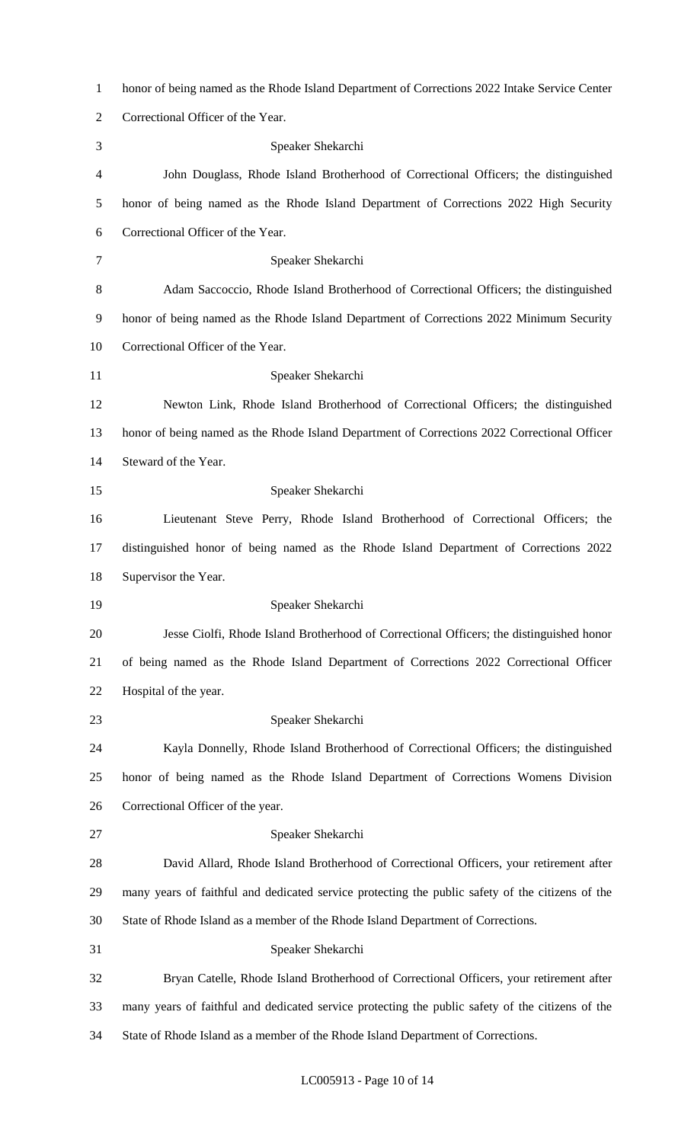| $\mathbf{1}$   | honor of being named as the Rhode Island Department of Corrections 2022 Intake Service Center    |
|----------------|--------------------------------------------------------------------------------------------------|
| $\overline{2}$ | Correctional Officer of the Year.                                                                |
| 3              | Speaker Shekarchi                                                                                |
| 4              | John Douglass, Rhode Island Brotherhood of Correctional Officers; the distinguished              |
| 5              | honor of being named as the Rhode Island Department of Corrections 2022 High Security            |
| 6              | Correctional Officer of the Year.                                                                |
| 7              | Speaker Shekarchi                                                                                |
| 8              | Adam Saccoccio, Rhode Island Brotherhood of Correctional Officers; the distinguished             |
| 9              | honor of being named as the Rhode Island Department of Corrections 2022 Minimum Security         |
| 10             | Correctional Officer of the Year.                                                                |
| 11             | Speaker Shekarchi                                                                                |
| 12             | Newton Link, Rhode Island Brotherhood of Correctional Officers; the distinguished                |
| 13             | honor of being named as the Rhode Island Department of Corrections 2022 Correctional Officer     |
| 14             | Steward of the Year.                                                                             |
| 15             | Speaker Shekarchi                                                                                |
| 16             | Lieutenant Steve Perry, Rhode Island Brotherhood of Correctional Officers; the                   |
| 17             | distinguished honor of being named as the Rhode Island Department of Corrections 2022            |
| 18             | Supervisor the Year.                                                                             |
| 19             | Speaker Shekarchi                                                                                |
| 20             | Jesse Ciolfi, Rhode Island Brotherhood of Correctional Officers; the distinguished honor         |
| 21             | of being named as the Rhode Island Department of Corrections 2022 Correctional Officer           |
| 22             | Hospital of the year.                                                                            |
| 23             | Speaker Shekarchi                                                                                |
| 24             | Kayla Donnelly, Rhode Island Brotherhood of Correctional Officers; the distinguished             |
| 25             | honor of being named as the Rhode Island Department of Corrections Womens Division               |
| 26             | Correctional Officer of the year.                                                                |
| 27             | Speaker Shekarchi                                                                                |
| 28             | David Allard, Rhode Island Brotherhood of Correctional Officers, your retirement after           |
| 29             | many years of faithful and dedicated service protecting the public safety of the citizens of the |
| 30             | State of Rhode Island as a member of the Rhode Island Department of Corrections.                 |
| 31             | Speaker Shekarchi                                                                                |
| 32             | Bryan Catelle, Rhode Island Brotherhood of Correctional Officers, your retirement after          |
| 33             | many years of faithful and dedicated service protecting the public safety of the citizens of the |
| 34             | State of Rhode Island as a member of the Rhode Island Department of Corrections.                 |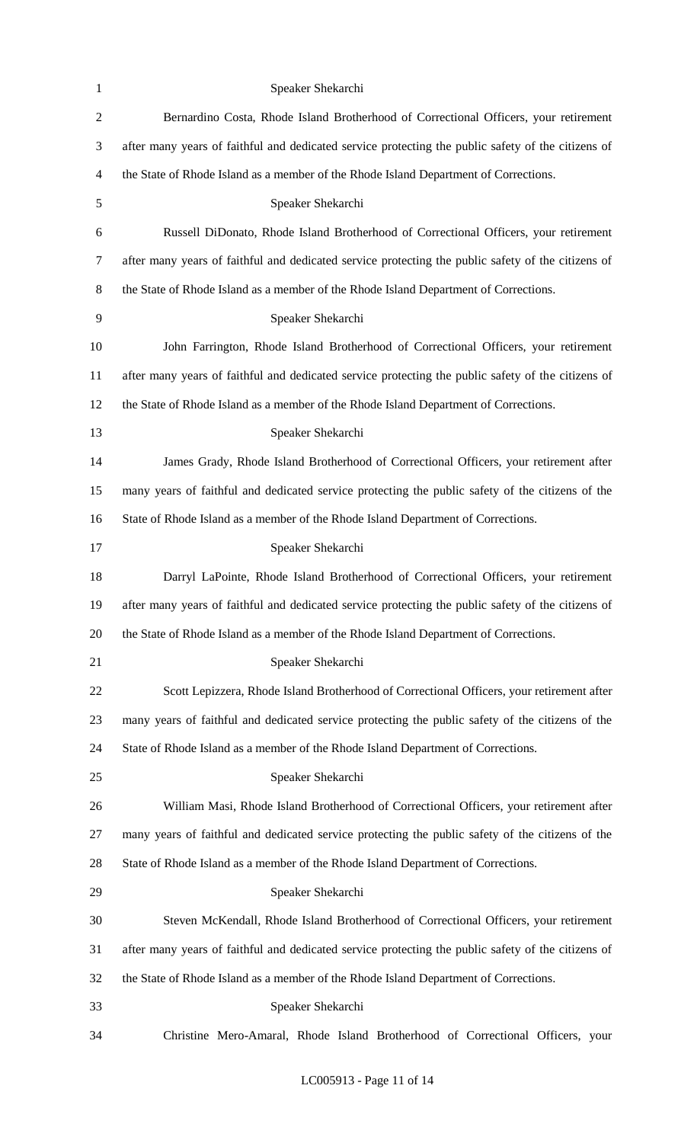| 1              | Speaker Shekarchi                                                                                  |
|----------------|----------------------------------------------------------------------------------------------------|
| $\sqrt{2}$     | Bernardino Costa, Rhode Island Brotherhood of Correctional Officers, your retirement               |
| 3              | after many years of faithful and dedicated service protecting the public safety of the citizens of |
| $\overline{4}$ | the State of Rhode Island as a member of the Rhode Island Department of Corrections.               |
| 5              | Speaker Shekarchi                                                                                  |
| 6              | Russell DiDonato, Rhode Island Brotherhood of Correctional Officers, your retirement               |
| $\overline{7}$ | after many years of faithful and dedicated service protecting the public safety of the citizens of |
| 8              | the State of Rhode Island as a member of the Rhode Island Department of Corrections.               |
| 9              | Speaker Shekarchi                                                                                  |
| 10             | John Farrington, Rhode Island Brotherhood of Correctional Officers, your retirement                |
| 11             | after many years of faithful and dedicated service protecting the public safety of the citizens of |
| 12             | the State of Rhode Island as a member of the Rhode Island Department of Corrections.               |
| 13             | Speaker Shekarchi                                                                                  |
| 14             | James Grady, Rhode Island Brotherhood of Correctional Officers, your retirement after              |
| 15             | many years of faithful and dedicated service protecting the public safety of the citizens of the   |
| 16             | State of Rhode Island as a member of the Rhode Island Department of Corrections.                   |
| 17             | Speaker Shekarchi                                                                                  |
| 18             | Darryl LaPointe, Rhode Island Brotherhood of Correctional Officers, your retirement                |
| 19             | after many years of faithful and dedicated service protecting the public safety of the citizens of |
| 20             | the State of Rhode Island as a member of the Rhode Island Department of Corrections.               |
| 21             | Speaker Shekarchi                                                                                  |
| 22             | Scott Lepizzera, Rhode Island Brotherhood of Correctional Officers, your retirement after          |
| 23             | many years of faithful and dedicated service protecting the public safety of the citizens of the   |
| 24             | State of Rhode Island as a member of the Rhode Island Department of Corrections.                   |
| 25             | Speaker Shekarchi                                                                                  |
| 26             | William Masi, Rhode Island Brotherhood of Correctional Officers, your retirement after             |
| 27             | many years of faithful and dedicated service protecting the public safety of the citizens of the   |
| 28             | State of Rhode Island as a member of the Rhode Island Department of Corrections.                   |
| 29             | Speaker Shekarchi                                                                                  |
| 30             | Steven McKendall, Rhode Island Brotherhood of Correctional Officers, your retirement               |
| 31             | after many years of faithful and dedicated service protecting the public safety of the citizens of |
| 32             | the State of Rhode Island as a member of the Rhode Island Department of Corrections.               |
| 33             | Speaker Shekarchi                                                                                  |
| 34             | Christine Mero-Amaral, Rhode Island Brotherhood of Correctional Officers, your                     |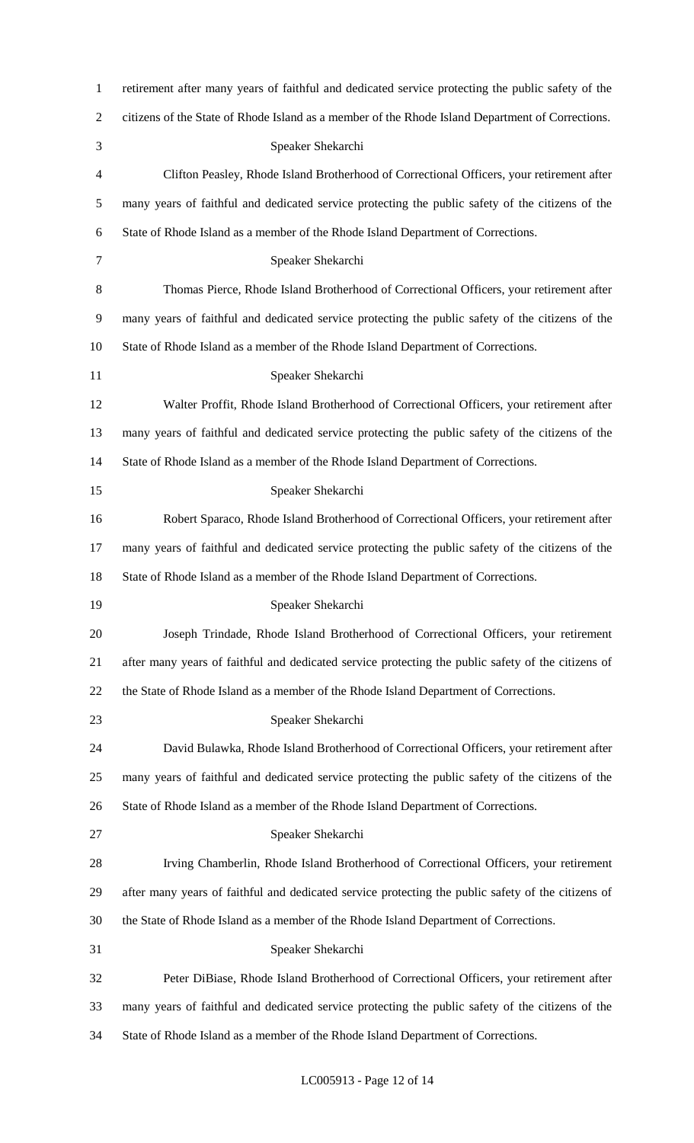| $\mathbf{1}$   | retirement after many years of faithful and dedicated service protecting the public safety of the  |
|----------------|----------------------------------------------------------------------------------------------------|
| $\mathfrak{2}$ | citizens of the State of Rhode Island as a member of the Rhode Island Department of Corrections.   |
| 3              | Speaker Shekarchi                                                                                  |
| 4              | Clifton Peasley, Rhode Island Brotherhood of Correctional Officers, your retirement after          |
| 5              | many years of faithful and dedicated service protecting the public safety of the citizens of the   |
| 6              | State of Rhode Island as a member of the Rhode Island Department of Corrections.                   |
| $\tau$         | Speaker Shekarchi                                                                                  |
| 8              | Thomas Pierce, Rhode Island Brotherhood of Correctional Officers, your retirement after            |
| 9              | many years of faithful and dedicated service protecting the public safety of the citizens of the   |
| 10             | State of Rhode Island as a member of the Rhode Island Department of Corrections.                   |
| 11             | Speaker Shekarchi                                                                                  |
| 12             | Walter Proffit, Rhode Island Brotherhood of Correctional Officers, your retirement after           |
| 13             | many years of faithful and dedicated service protecting the public safety of the citizens of the   |
| 14             | State of Rhode Island as a member of the Rhode Island Department of Corrections.                   |
| 15             | Speaker Shekarchi                                                                                  |
| 16             | Robert Sparaco, Rhode Island Brotherhood of Correctional Officers, your retirement after           |
| 17             | many years of faithful and dedicated service protecting the public safety of the citizens of the   |
| 18             | State of Rhode Island as a member of the Rhode Island Department of Corrections.                   |
| 19             | Speaker Shekarchi                                                                                  |
| 20             | Joseph Trindade, Rhode Island Brotherhood of Correctional Officers, your retirement                |
| 21             | after many years of faithful and dedicated service protecting the public safety of the citizens of |
| 22             | the State of Rhode Island as a member of the Rhode Island Department of Corrections.               |
| 23             | Speaker Shekarchi                                                                                  |
| 24             | David Bulawka, Rhode Island Brotherhood of Correctional Officers, your retirement after            |
| 25             | many years of faithful and dedicated service protecting the public safety of the citizens of the   |
| 26             | State of Rhode Island as a member of the Rhode Island Department of Corrections.                   |
| 27             | Speaker Shekarchi                                                                                  |
| 28             | Irving Chamberlin, Rhode Island Brotherhood of Correctional Officers, your retirement              |
| 29             | after many years of faithful and dedicated service protecting the public safety of the citizens of |
| 30             | the State of Rhode Island as a member of the Rhode Island Department of Corrections.               |
| 31             | Speaker Shekarchi                                                                                  |
| 32             | Peter DiBiase, Rhode Island Brotherhood of Correctional Officers, your retirement after            |
| 33             | many years of faithful and dedicated service protecting the public safety of the citizens of the   |
| 34             | State of Rhode Island as a member of the Rhode Island Department of Corrections.                   |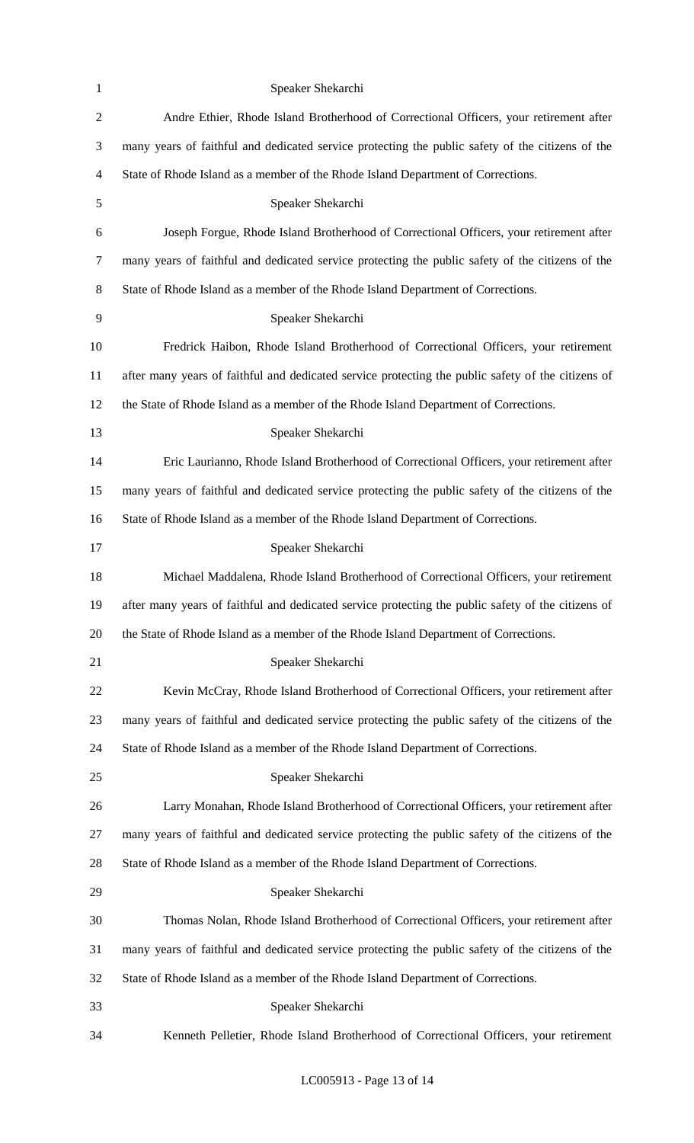| $\mathbf{1}$   | Speaker Shekarchi                                                                                  |
|----------------|----------------------------------------------------------------------------------------------------|
| $\mathfrak{2}$ | Andre Ethier, Rhode Island Brotherhood of Correctional Officers, your retirement after             |
| $\mathfrak{Z}$ | many years of faithful and dedicated service protecting the public safety of the citizens of the   |
| $\overline{4}$ | State of Rhode Island as a member of the Rhode Island Department of Corrections.                   |
| $\mathfrak{S}$ | Speaker Shekarchi                                                                                  |
| 6              | Joseph Forgue, Rhode Island Brotherhood of Correctional Officers, your retirement after            |
| $\tau$         | many years of faithful and dedicated service protecting the public safety of the citizens of the   |
| $8\,$          | State of Rhode Island as a member of the Rhode Island Department of Corrections.                   |
| 9              | Speaker Shekarchi                                                                                  |
| 10             | Fredrick Haibon, Rhode Island Brotherhood of Correctional Officers, your retirement                |
| 11             | after many years of faithful and dedicated service protecting the public safety of the citizens of |
| 12             | the State of Rhode Island as a member of the Rhode Island Department of Corrections.               |
| 13             | Speaker Shekarchi                                                                                  |
| 14             | Eric Laurianno, Rhode Island Brotherhood of Correctional Officers, your retirement after           |
| 15             | many years of faithful and dedicated service protecting the public safety of the citizens of the   |
| 16             | State of Rhode Island as a member of the Rhode Island Department of Corrections.                   |
| 17             | Speaker Shekarchi                                                                                  |
| 18             | Michael Maddalena, Rhode Island Brotherhood of Correctional Officers, your retirement              |
| 19             | after many years of faithful and dedicated service protecting the public safety of the citizens of |
| 20             | the State of Rhode Island as a member of the Rhode Island Department of Corrections.               |
| 21             | Speaker Shekarchi                                                                                  |
| 22             | Kevin McCray, Rhode Island Brotherhood of Correctional Officers, your retirement after             |
| 23             | many years of faithful and dedicated service protecting the public safety of the citizens of the   |
| 24             | State of Rhode Island as a member of the Rhode Island Department of Corrections.                   |
| 25             | Speaker Shekarchi                                                                                  |
| 26             | Larry Monahan, Rhode Island Brotherhood of Correctional Officers, your retirement after            |
| 27             | many years of faithful and dedicated service protecting the public safety of the citizens of the   |
| 28             | State of Rhode Island as a member of the Rhode Island Department of Corrections.                   |
| 29             | Speaker Shekarchi                                                                                  |
| 30             | Thomas Nolan, Rhode Island Brotherhood of Correctional Officers, your retirement after             |
| 31             | many years of faithful and dedicated service protecting the public safety of the citizens of the   |
| 32             | State of Rhode Island as a member of the Rhode Island Department of Corrections.                   |
| 33             | Speaker Shekarchi                                                                                  |
| 34             | Kenneth Pelletier, Rhode Island Brotherhood of Correctional Officers, your retirement              |